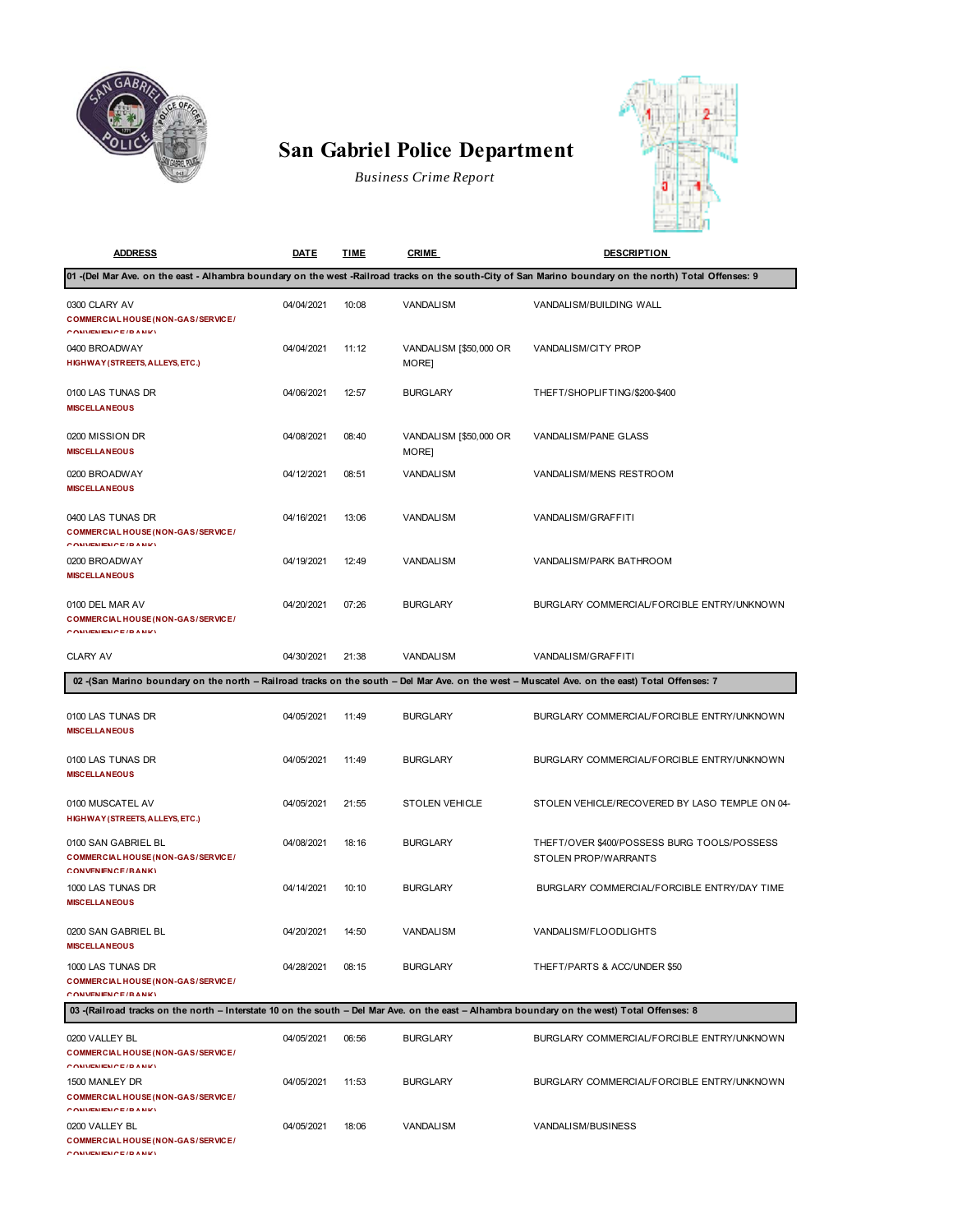

## **San Gabriel Police Department**

*Business Crime Report*



| <b>ADDRESS</b>                                                                                                                                | <b>DATE</b> | <b>TIME</b> | <b>CRIME</b>                    | <b>DESCRIPTION</b>                                                                                                                                     |  |  |  |
|-----------------------------------------------------------------------------------------------------------------------------------------------|-------------|-------------|---------------------------------|--------------------------------------------------------------------------------------------------------------------------------------------------------|--|--|--|
|                                                                                                                                               |             |             |                                 | 01 (Del Mar Ave. on the east - Alhambra boundary on the west -Railroad tracks on the south-City of San Marino boundary on the north) Total Offenses: 9 |  |  |  |
| 0300 CLARY AV<br><b>COMMERCIAL HOUSE (NON-GAS/SERVICE/</b><br>CONVENIENCE (DANIE)                                                             | 04/04/2021  | 10:08       | VANDALISM                       | VANDALISM/BUILDING WALL                                                                                                                                |  |  |  |
| 0400 BROADWAY<br>HIGHWAY (STREETS, ALLEYS, ETC.)                                                                                              | 04/04/2021  | 11:12       | VANDALISM [\$50,000 OR<br>MORE] | VANDALISM/CITY PROP                                                                                                                                    |  |  |  |
| 0100 LAS TUNAS DR<br><b>MISCELLANEOUS</b>                                                                                                     | 04/06/2021  | 12:57       | <b>BURGLARY</b>                 | THEFT/SHOPLIFTING/\$200-\$400                                                                                                                          |  |  |  |
| 0200 MISSION DR<br><b>MISCELLANEOUS</b>                                                                                                       | 04/08/2021  | 08:40       | VANDALISM [\$50,000 OR<br>MORE] | VANDALISM/PANE GLASS                                                                                                                                   |  |  |  |
| 0200 BROADWAY<br><b>MISCELLANEOUS</b>                                                                                                         | 04/12/2021  | 08:51       | VANDALISM                       | VANDALISM/MENS RESTROOM                                                                                                                                |  |  |  |
| 0400 LAS TUNAS DR<br><b>COMMERCIAL HOUSE (NON-GAS/SERVICE/</b><br>CONVENIENCE (DANIZ)                                                         | 04/16/2021  | 13:06       | VANDALISM                       | VANDALISM/GRAFFITI                                                                                                                                     |  |  |  |
| 0200 BROADWAY<br><b>MISCELLANEOUS</b>                                                                                                         | 04/19/2021  | 12:49       | VANDALISM                       | VANDALISM/PARK BATHROOM                                                                                                                                |  |  |  |
| 0100 DEL MAR AV<br>COMMERCIAL HOUSE (NON-GAS/SERVICE/<br><b>CONVIENIENCE (DANIE)</b>                                                          | 04/20/2021  | 07:26       | <b>BURGLARY</b>                 | BURGLARY COMMERCIAL/FORCIBLE ENTRY/UNKNOWN                                                                                                             |  |  |  |
| <b>CLARY AV</b>                                                                                                                               | 04/30/2021  | 21:38       | VANDALISM                       | VANDALISM/GRAFFITI                                                                                                                                     |  |  |  |
|                                                                                                                                               |             |             |                                 | 02 - (San Marino boundary on the north - Railroad tracks on the south - Del Mar Ave. on the west - Muscatel Ave. on the east) Total Offenses: 7        |  |  |  |
| 0100 LAS TUNAS DR<br><b>MISCELLANEOUS</b>                                                                                                     | 04/05/2021  | 11:49       | <b>BURGLARY</b>                 | BURGLARY COMMERCIAL/FORCIBLE ENTRY/UNKNOWN                                                                                                             |  |  |  |
| 0100 LAS TUNAS DR<br><b>MISCELLANEOUS</b>                                                                                                     | 04/05/2021  | 11:49       | <b>BURGLARY</b>                 | BURGLARY COMMERCIAL/FORCIBLE ENTRY/UNKNOWN                                                                                                             |  |  |  |
| 0100 MUSCATEL AV<br>HIGHWAY (STREETS, ALLEYS, ETC.)                                                                                           | 04/05/2021  | 21:55       | <b>STOLEN VEHICLE</b>           | STOLEN VEHICLE/RECOVERED BY LASO TEMPLE ON 04-                                                                                                         |  |  |  |
| 0100 SAN GABRIEL BL<br>COMMERCIAL HOUSE (NON-GAS/SERVICE/<br>CONVENIENCE/RANK)                                                                | 04/08/2021  | 18:16       | <b>BURGLARY</b>                 | THEFT/OVER \$400/POSSESS BURG TOOLS/POSSESS<br>STOLEN PROP/WARRANTS                                                                                    |  |  |  |
| 1000 LAS TUNAS DR<br><b>MISCELLANEOUS</b>                                                                                                     | 04/14/2021  | 10:10       | <b>BURGLARY</b>                 | BURGLARY COMMERCIAL/FORCIBLE ENTRY/DAY TIME                                                                                                            |  |  |  |
| 0200 SAN GABRIEL BL<br><b>MISCELLANEOUS</b>                                                                                                   | 04/20/2021  | 14:50       | VANDALISM                       | VANDALISM/FLOODLIGHTS                                                                                                                                  |  |  |  |
| 1000 LAS TUNAS DR<br><b>COMMERCIAL HOUSE (NON-GAS/SERVICE/</b><br>CONVENIENCE (DANIE)                                                         | 04/28/2021  | 08:15       | <b>BURGLARY</b>                 | THEFT/PARTS & ACC/UNDER \$50                                                                                                                           |  |  |  |
| 03 - (Railroad tracks on the north - Interstate 10 on the south - Del Mar Ave. on the east - Alhambra boundary on the west) Total Offenses: 8 |             |             |                                 |                                                                                                                                                        |  |  |  |
| 0200 VALLEY BL<br><b>COMMERCIAL HOUSE (NON-GAS/SERVICE/</b><br><b>CONVIDADENTE (DANIE)</b>                                                    | 04/05/2021  | 06:56       | <b>BURGLARY</b>                 | BURGLARY COMMERCIAL/FORCIBLE ENTRY/UNKNOWN                                                                                                             |  |  |  |
| 1500 MANLEY DR<br><b>COMMERCIAL HOUSE (NON-GAS/SERVICE/</b><br><b>CONVENIENCE (DANIE)</b>                                                     | 04/05/2021  | 11:53       | <b>BURGLARY</b>                 | BURGLARY COMMERCIAL/FORCIBLE ENTRY/UNKNOWN                                                                                                             |  |  |  |
| 0200 VALLEY BL<br><b>COMMERCIAL HOUSE (NON-GAS/SERVICE/</b><br><b>CONVENIENCE / DANIZY</b>                                                    | 04/05/2021  | 18:06       | VANDALISM                       | VANDALISM/BUSINESS                                                                                                                                     |  |  |  |